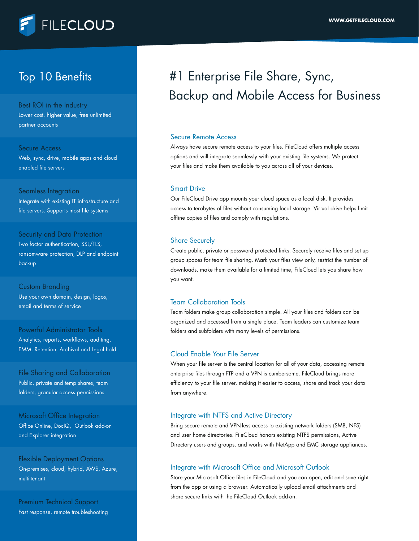

### Top 10 Benefits

Best ROI in the Industry Lower cost, higher value, free unlimited partner accounts

#### Secure Access

Web, sync, drive, mobile apps and cloud enabled file servers

Seamless Integration Integrate with existing IT infrastructure and file servers. Supports most file systems

Security and Data Protection Two factor authentication, SSL/TLS, ransomware protection, DLP and endpoint backup

Custom Branding Use your own domain, design, logos, email and terms of service

Powerful Administrator Tools Analytics, reports, workflows, auditing, EMM, Retention, Archival and Legal hold

File Sharing and Collaboration Public, private and temp shares, team folders, granular access permissions

Microsoft Office Integration Office Online, DocIQ, Outlook add-on and Explorer integration

Flexible Deployment Options On-premises, cloud, hybrid, AWS, Azure, multi-tenant

Premium Technical Support Fast response, remote troubleshooting

## #1 Enterprise File Share, Sync, Backup and Mobile Access for Business

#### Secure Remote Access

Always have secure remote access to your files. FileCloud offers multiple access options and will integrate seamlessly with your existing file systems. We protect your files and make them available to you across all of your devices.

#### Smart Drive

Our FileCloud Drive app mounts your cloud space as a local disk. It provides access to terabytes of files without consuming local storage. Virtual drive helps limit offline copies of files and comply with regulations.

#### Share Securely

Create public, private or password protected links. Securely receive files and set up group spaces for team file sharing. Mark your files view only, restrict the number of downloads, make them available for a limited time, FileCloud lets you share how you want.

#### Team Collaboration Tools

Team folders make group collaboration simple. All your files and folders can be organized and accessed from a single place. Team leaders can customize team folders and subfolders with many levels of permissions.

#### Cloud Enable Your File Server

When your file server is the central location for all of your data, accessing remote enterprise files through FTP and a VPN is cumbersome. FileCloud brings more efficiency to your file server, making it easier to access, share and track your data from anywhere.

#### Integrate with NTFS and Active Directory

Bring secure remote and VPN-less access to existing network folders (SMB, NFS) and user home directories. FileCloud honors existing NTFS permissions, Active Directory users and groups, and works with NetApp and EMC storage appliances.

#### Integrate with Microsoft Office and Microsoft Outlook

Store your Microsoft Office files in FileCloud and you can open, edit and save right from the app or using a browser. Automatically upload email attachments and share secure links with the FileCloud Outlook add-on.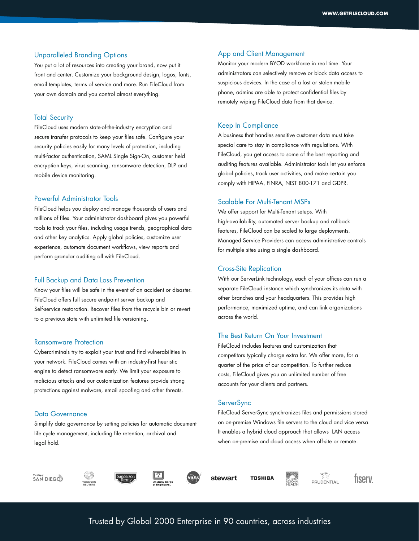#### Unparalleled Branding Options

You put a lot of resources into creating your brand, now put it front and center. Customize your background design, logos, fonts, email templates, terms of service and more. Run FileCloud from your own domain and you control almost everything.

#### Total Security

FileCloud uses modern state-of-the-industry encryption and secure transfer protocols to keep your files safe. Configure your security policies easily for many levels of protection, including multi-factor authentication, SAML Single Sign-On, customer held encryption keys, virus scanning, ransomware detection, DLP and mobile device monitoring.

#### Powerful Administrator Tools

FileCloud helps you deploy and manage thousands of users and millions of files. Your administrator dashboard gives you powerful tools to track your files, including usage trends, geographical data and other key analytics. Apply global policies, customize user experience, automate document workflows, view reports and perform granular auditing all with FileCloud.

#### Full Backup and Data Loss Prevention

Know your files will be safe in the event of an accident or disaster. FileCloud offers full secure endpoint server backup and Self-service restoration. Recover files from the recycle bin or revert to a previous state with unlimited file versioning.

#### Ransomware Protection

Cybercriminals try to exploit your trust and find vulnerabilities in your network. FileCloud comes with an industry-first heuristic engine to detect ransomware early. We limit your exposure to malicious attacks and our customization features provide strong protections against malware, email spoofing and other threats.

#### Data Governance

Simplify data governance by setting policies for automatic document life cycle management, including file retention, archival and legal hold.

#### App and Client Management

Monitor your modern BYOD workforce in real time. Your administrators can selectively remove or block data access to suspicious devices. In the case of a lost or stolen mobile phone, admins are able to protect confidential files by remotely wiping FileCloud data from that device.

#### Keep In Compliance

A business that handles sensitive customer data must take special care to stay in compliance with regulations. With FileCloud, you get access to some of the best reporting and auditing features available. Administrator tools let you enforce global policies, track user activities, and make certain you comply with HIPAA, FINRA, NIST 800-171 and GDPR.

#### Scalable For Multi-Tenant MSPs

We offer support for Multi-Tenant setups. With high-availability, automated server backup and rollback features, FileCloud can be scaled to large deployments. Managed Service Providers can access administrative controls for multiple sites using a single dashboard.

#### Cross-Site Replication

With our ServerLink technology, each of your offices can run a separate FileCloud instance which synchronizes its data with other branches and your headquarters. This provides high performance, maximized uptime, and can link organizations across the world.

#### The Best Return On Your Investment

FileCloud includes features and customization that competitors typically charge extra for. We offer more, for a quarter of the price of our competition. To further reduce costs, FileCloud gives you an unlimited number of free accounts for your clients and partners.

#### **ServerSync**

FileCloud ServerSync synchronizes files and permissions stored on on-premise Windows file servers to the cloud and vice versa. It enables a hybrid cloud approach that allows LAN access when on-premise and cloud access when off-site or remote.

The City of<br>**SAN DIEGO** 







stewart

**TOSHIBA** 



tıserv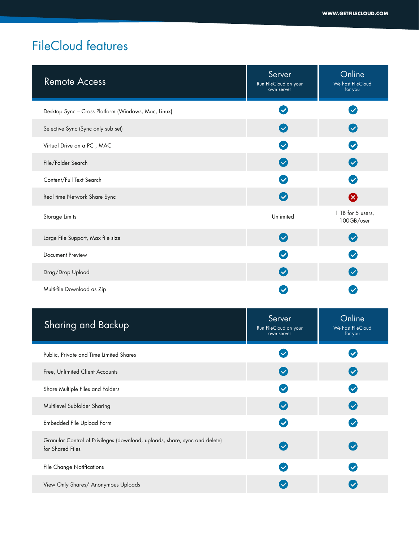| <b>Remote Access</b>                                                                           | Server<br>Run FileCloud on your<br>own server | Online<br>We host FileCloud<br>for you |
|------------------------------------------------------------------------------------------------|-----------------------------------------------|----------------------------------------|
| Desktop Sync - Cross Platform (Windows, Mac, Linux)                                            | $\checkmark$                                  | $\checkmark$                           |
| Selective Sync (Sync only sub set)                                                             | $\left( \blacktriangledown \right)$           | $\bullet$                              |
| Virtual Drive on a PC, MAC                                                                     | $\blacktriangledown$                          | $\boldsymbol{\heartsuit}$              |
| File/Folder Search                                                                             | $\blacktriangledown$                          | $\boldsymbol{\heartsuit}$              |
| Content/Full Text Search                                                                       | $\blacktriangledown$                          | $\bullet$                              |
| Real time Network Share Sync                                                                   | $\blacktriangledown$                          | ⊗                                      |
| Storage Limits                                                                                 | Unlimited                                     | 1 TB for 5 users,<br>100GB/user        |
| Large File Support, Max file size                                                              | $\boldsymbol{\mathcal{S}}$                    | $\blacktriangledown$                   |
| Document Preview                                                                               |                                               | $\boldsymbol{\mathcal{S}}$             |
| Drag/Drop Upload                                                                               | $\blacktriangledown$                          | $\bullet$                              |
| Multi-file Download as Zip                                                                     | $\checkmark$                                  | $\blacktriangledown$                   |
| <b>Sharing and Backup</b>                                                                      | Server<br>Run FileCloud on your<br>own server | Online<br>We host FileCloud<br>for you |
| Public, Private and Time Limited Shares                                                        |                                               |                                        |
| Free, Unlimited Client Accounts                                                                |                                               |                                        |
| Share Multiple Files and Folders                                                               | $\checkmark$                                  | $\blacktriangledown$                   |
| Multilevel Subfolder Sharing                                                                   | $\blacktriangledown$                          | $\bigcirc$                             |
| Embedded File Upload Form                                                                      | $\blacktriangledown$                          | $\boldsymbol{\heartsuit}$              |
| Granular Control of Privileges (download, uploads, share, sync and delete)<br>for Shared Files | $\blacktriangledown$                          | $\left($                               |
| <b>File Change Notifications</b>                                                               | $\blacktriangledown$                          | $\boldsymbol{\heartsuit}$              |
| View Only Shares/ Anonymous Uploads                                                            | $\boldsymbol{\heartsuit}$                     | $\boldsymbol{\heartsuit}$              |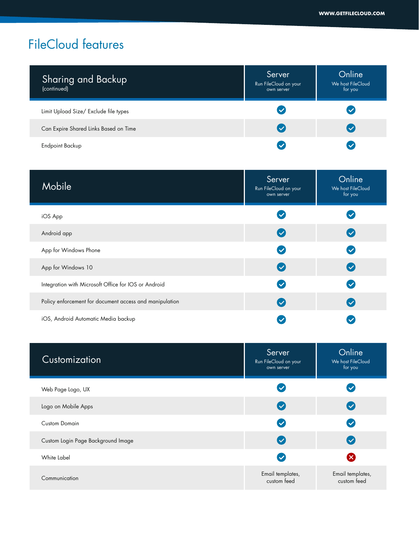| <b>Sharing and Backup</b><br>(continued) | Server<br>Run FileCloud on your<br>own server | Online<br>We host FileCloud<br>for you |
|------------------------------------------|-----------------------------------------------|----------------------------------------|
| Limit Upload Size/ Exclude file types    | $\checkmark$                                  |                                        |
| Can Expire Shared Links Based on Time    | $\checkmark$                                  |                                        |
| Endpoint Backup                          | $\sqrt{}$                                     |                                        |

| Mobile                                                  | Server<br>Run FileCloud on your<br>own server | Online<br>We host FileCloud<br>for you |
|---------------------------------------------------------|-----------------------------------------------|----------------------------------------|
| iOS App                                                 | $\blacktriangledown$                          |                                        |
| Android app                                             | $\checkmark$                                  | $\overline{\mathsf{v}}$                |
| App for Windows Phone                                   | $\checkmark$                                  | $\checkmark$                           |
| App for Windows 10                                      | $\checkmark$                                  | $\checkmark$                           |
| Integration with Microsoft Office for IOS or Android    | $\checkmark$                                  | $\blacktriangledown$                   |
| Policy enforcement for document access and manipulation | $\overline{\mathsf{v}}$                       | $\overline{\mathsf{v}}$                |
| iOS, Android Automatic Media backup                     |                                               |                                        |

| Customization                      | Server<br>Run FileCloud on your<br>own server | Online<br>We host FileCloud<br>for you |
|------------------------------------|-----------------------------------------------|----------------------------------------|
| Web Page Logo, UX                  | $\checkmark$                                  | $\checkmark$                           |
| Logo on Mobile Apps                | $\blacktriangledown$                          | $\overline{\mathsf{v}}$                |
| <b>Custom Domain</b>               | $\blacktriangledown$                          | $\blacktriangledown$                   |
| Custom Login Page Background Image | $\blacktriangledown$                          | $\checkmark$                           |
| White Label                        | $\blacktriangledown$                          | $\mathsf{\mathsf{x}}$                  |
| Communication                      | Email templates,<br>custom feed               | Email templates,<br>custom feed        |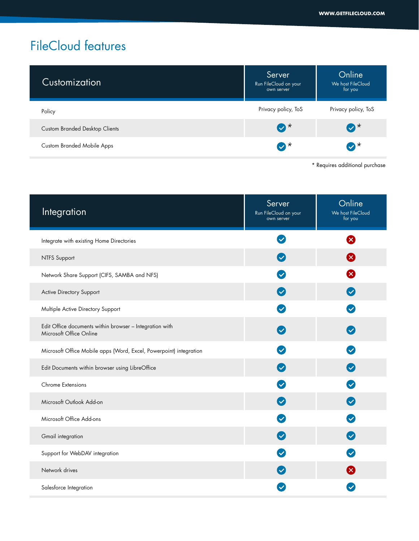| Customization                         | Server<br>Run FileCloud on your<br>own server | Online<br>We host FileCloud<br>for you |
|---------------------------------------|-----------------------------------------------|----------------------------------------|
| Policy                                | Privacy policy, ToS                           | Privacy policy, ToS                    |
| <b>Custom Branded Desktop Clients</b> | $\bullet^*$                                   | $\bullet^{\star}$                      |
| <b>Custom Branded Mobile Apps</b>     | $\bullet^*$                                   | $\bullet^{\star}$                      |
|                                       |                                               |                                        |

\* Requires additional purchase

| Integration                                                                        | Server<br>Run FileCloud on your<br>own server | Online<br>We host FileCloud<br>for you |
|------------------------------------------------------------------------------------|-----------------------------------------------|----------------------------------------|
| Integrate with existing Home Directories                                           |                                               | ×                                      |
| <b>NTFS Support</b>                                                                |                                               | ×                                      |
| Network Share Support (CIFS, SAMBA and NFS)                                        |                                               | $\mathbf x$                            |
| Active Directory Support                                                           | $\checkmark$                                  | $\boldsymbol{\heartsuit}$              |
| Multiple Active Directory Support                                                  | $\checkmark$                                  | $\checkmark$                           |
| Edit Office documents within browser - Integration with<br>Microsoft Office Online |                                               | $\overline{\mathbf{v}}$                |
| Microsoft Office Mobile apps (Word, Excel, Powerpoint) integration                 | $\checkmark$                                  | $\blacktriangledown$                   |
| Edit Documents within browser using LibreOffice                                    | $\checkmark$                                  | $\left( $                              |
| Chrome Extensions                                                                  | $\checkmark$                                  | $\bullet$                              |
| Microsoft Outlook Add-on                                                           | $\checkmark$                                  | $\bullet$                              |
| Microsoft Office Add-ons                                                           |                                               | $\blacktriangledown$                   |
| Gmail integration                                                                  |                                               | $\blacktriangledown$                   |
| Support for WebDAV integration                                                     |                                               | $\checkmark$                           |
| Network drives                                                                     |                                               | <b>X</b>                               |
| Salesforce Integration                                                             |                                               |                                        |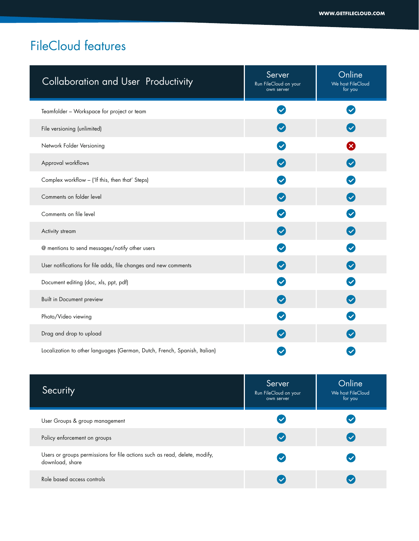| <b>Collaboration and User Productivity</b>                                                    | Server<br>Run FileCloud on your<br>own server | Online<br>We host FileCloud<br>for you |
|-----------------------------------------------------------------------------------------------|-----------------------------------------------|----------------------------------------|
| Teamfolder - Workspace for project or team                                                    |                                               | $\checkmark$                           |
| File versioning (unlimited)                                                                   |                                               | $\blacktriangledown$                   |
| Network Folder Versioning                                                                     |                                               | $\boldsymbol{\mathcal{R}}$             |
| Approval workflows                                                                            | $\left( \blacktriangledown \right)$           | $\blacktriangledown$                   |
| Complex workflow - ('If this, then that' Steps)                                               | $\blacktriangledown$                          | $\blacktriangledown$                   |
| Comments on folder level                                                                      | $\checkmark$                                  | $\left($ $\heartsuit\right)$           |
| Comments on file level                                                                        |                                               | $\blacktriangledown$                   |
| Activity stream                                                                               | $\blacktriangledown$                          | $\left($ $\heartsuit\right)$           |
| @ mentions to send messages/notify other users                                                | $\checkmark$                                  | $\boldsymbol{\nabla}$                  |
| User notifications for file adds, file changes and new comments                               | $\left( \mathbf{v}\right)$                    | $\left($                               |
| Document editing (doc, xls, ppt, pdf)                                                         |                                               | $\blacktriangledown$                   |
| Built in Document preview                                                                     |                                               |                                        |
| Photo/Video viewing                                                                           |                                               |                                        |
| Drag and drop to upload                                                                       |                                               | $\left($ $\heartsuit\right)$           |
| Localization to other languages (German, Dutch, French, Spanish, Italian)                     |                                               | $\checkmark$                           |
| Security                                                                                      | Server<br>Run FileCloud on your<br>own server | Online<br>We host FileCloud<br>for you |
| User Groups & group management                                                                |                                               | $\blacktriangledown$                   |
| Policy enforcement on groups                                                                  |                                               | $\left( $                              |
| Users or groups permissions for file actions such as read, delete, modify,<br>download, share |                                               | $\checkmark$                           |
| Role based access controls                                                                    | $\blacktriangledown$                          | $\blacktriangledown$                   |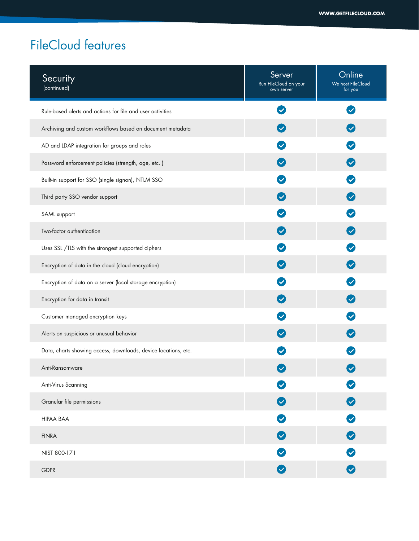| Security<br>(continued)                                        | Server<br>Run FileCloud on your<br>own server | Online<br>We host FileCloud<br>for you |
|----------------------------------------------------------------|-----------------------------------------------|----------------------------------------|
| Rule-based alerts and actions for file and user activities     |                                               | $\checkmark$                           |
| Archiving and custom workflows based on document metadata      |                                               |                                        |
| AD and LDAP integration for groups and roles                   |                                               | $\left( \mathbf{v}\right)$             |
| Password enforcement policies (strength, age, etc.)            |                                               | $\bullet$                              |
| Built-in support for SSO (single signon), NTLM SSO             |                                               | $\checkmark$                           |
| Third party SSO vendor support                                 |                                               | $\bullet$                              |
| SAML support                                                   |                                               | $\overline{\vee}$                      |
| Two-factor authentication                                      |                                               | $\bullet$                              |
| Uses SSL /TLS with the strongest supported ciphers             |                                               | $\blacktriangledown$                   |
| Encryption of data in the cloud (cloud encryption)             |                                               | $\bullet$                              |
| Encryption of data on a server (local storage encryption)      |                                               | $\checkmark$                           |
| Encryption for data in transit                                 |                                               | $\left( \bigtriangledown \right)$      |
| Customer managed encryption keys                               |                                               | $\checkmark$                           |
| Alerts on suspicious or unusual behavior                       |                                               | $\left( \bigtriangledown \right)$      |
| Data, charts showing access, downloads, device locations, etc. |                                               |                                        |
| Anti-Ransomware                                                |                                               |                                        |
| Anti-Virus Scanning                                            |                                               | $\blacktriangledown$                   |
| Granular file permissions                                      | $\heartsuit$                                  | $\bullet$                              |
| <b>HIPAA BAA</b>                                               | Ø                                             | $\bullet$                              |
| <b>FINRA</b>                                                   | $\bullet$                                     | $\bullet$                              |
| NIST 800-171                                                   | $\boldsymbol{\heartsuit}$                     | $\bullet$                              |
| <b>GDPR</b>                                                    | $\bullet$                                     | $\bullet$                              |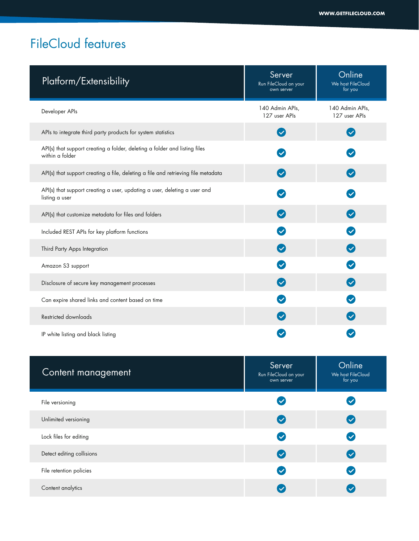| Platform/Extensibility                                                                        | Server<br>Run FileCloud on your<br>own server | Online<br>We host FileCloud<br>for you |
|-----------------------------------------------------------------------------------------------|-----------------------------------------------|----------------------------------------|
| Developer APIs                                                                                | 140 Admin APIs,<br>127 user APIs              | 140 Admin APIs,<br>127 user APIs       |
| APIs to integrate third party products for system statistics                                  | $\checkmark$                                  | $\blacktriangledown$                   |
| API(s) that support creating a folder, deleting a folder and listing files<br>within a folder | $\blacktriangledown$                          |                                        |
| API(s) that support creating a file, deleting a file and retrieving file metadata             | $\checkmark$                                  | $\bullet$                              |
| API(s) that support creating a user, updating a user, deleting a user and<br>listing a user   |                                               |                                        |
| API(s) that customize metadata for files and folders                                          |                                               | $\left( $                              |
| Included REST APIs for key platform functions                                                 |                                               | $\blacktriangledown$                   |
| Third Party Apps Integration                                                                  |                                               | $\bigcirc$                             |
| Amazon S3 support                                                                             |                                               | $\blacktriangledown$                   |
| Disclosure of secure key management processes                                                 | $\left( $                                     | $\bullet$                              |
| Can expire shared links and content based on time                                             |                                               |                                        |
| Restricted downloads                                                                          |                                               |                                        |
| IP white listing and black listing                                                            |                                               |                                        |

| Content management        | Server<br>Run FileCloud on your<br>own server | Online<br>We host FileCloud<br>for you |
|---------------------------|-----------------------------------------------|----------------------------------------|
| File versioning           | $\blacktriangledown$                          | $\checkmark$                           |
| Unlimited versioning      | $\checkmark$                                  | $\overline{\mathsf{v}}$                |
| Lock files for editing    | $(\checkmark$                                 | $\blacktriangledown$                   |
| Detect editing collisions | $\overline{\vee}$                             | $\checkmark$                           |
| File retention policies   | $\overline{\vee}$                             | $\checkmark$                           |
| Content analytics         |                                               |                                        |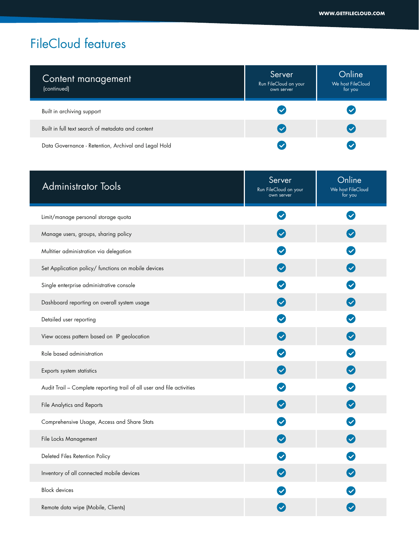| Content management<br>(continued)                    | Server<br>Run FileCloud on your<br>own server | Online<br>We host FileCloud<br>for you |
|------------------------------------------------------|-----------------------------------------------|----------------------------------------|
| Built in archiving support                           | $\blacktriangledown$                          |                                        |
| Built in full text search of metadata and content    | $\checkmark$                                  |                                        |
| Data Governance - Retention, Archival and Legal Hold | $\checkmark$                                  |                                        |

| <b>Administrator Tools</b>                                             | Server<br>Run FileCloud on your<br>own server | Online<br>We host FileCloud<br>for you |
|------------------------------------------------------------------------|-----------------------------------------------|----------------------------------------|
| Limit/manage personal storage quota                                    | $\checkmark$                                  | $\checkmark$                           |
| Manage users, groups, sharing policy                                   | $\blacktriangledown$                          | $\checkmark$                           |
| Multitier administration via delegation                                | $\checkmark$                                  | $\checkmark$                           |
| Set Application policy/ functions on mobile devices                    | $\overline{\mathbf{v}}$                       | $\blacktriangledown$                   |
| Single enterprise administrative console                               | $\checkmark$                                  | $\checkmark$                           |
| Dashboard reporting on overall system usage                            |                                               | $\boldsymbol{\heartsuit}$              |
| Detailed user reporting                                                |                                               | $\blacktriangledown$                   |
| View access pattern based on IP geolocation                            | $\blacktriangledown$                          | $\boldsymbol{\mathcal{C}}$             |
| Role based administration                                              |                                               | $\checkmark$                           |
| Exports system statistics                                              | $\checkmark$                                  | $\boldsymbol{\mathcal{S}}$             |
| Audit Trail - Complete reporting trail of all user and file activities | $\checkmark$                                  | $\checkmark$                           |
| File Analytics and Reports                                             | $\blacktriangledown$                          | $\boldsymbol{\mathcal{S}}$             |
| Comprehensive Usage, Access and Share Stats                            | $\checkmark$                                  | $\checkmark$                           |
| File Locks Management                                                  |                                               | $\blacktriangledown$                   |
| Deleted Files Retention Policy                                         |                                               | $\checkmark$                           |
| Inventory of all connected mobile devices                              | $\blacktriangledown$                          | $\blacktriangledown$                   |
| <b>Block devices</b>                                                   |                                               |                                        |
| Remote data wipe (Mobile, Clients)                                     |                                               |                                        |